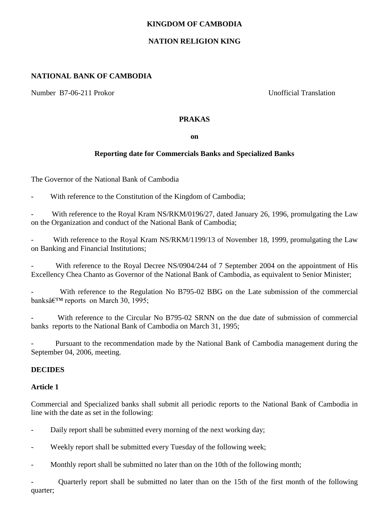#### **KINGDOM OF CAMBODIA**

### **NATION RELIGION KING**

#### **NATIONAL BANK OF CAMBODIA**

Number B7-06-211 Prokor Unofficial Translation

#### **PRAKAS**

**on**

# **Reporting date for Commercials Banks and Specialized Banks**

The Governor of the National Bank of Cambodia

With reference to the Constitution of the Kingdom of Cambodia;

With reference to the Royal Kram NS/RKM/0196/27, dated January 26, 1996, promulgating the Law on the Organization and conduct of the National Bank of Cambodia;

With reference to the Royal Kram NS/RKM/1199/13 of November 18, 1999, promulgating the Law on Banking and Financial Institutions;

With reference to the Royal Decree NS/0904/244 of 7 September 2004 on the appointment of His Excellency Chea Chanto as Governor of the National Bank of Cambodia, as equivalent to Senior Minister;

With reference to the Regulation No B795-02 BBG on the Late submission of the commercial banks' reports on March 30, 1995;

With reference to the Circular No B795-02 SRNN on the due date of submission of commercial banks reports to the National Bank of Cambodia on March 31, 1995;

Pursuant to the recommendation made by the National Bank of Cambodia management during the September 04, 2006, meeting.

## **DECIDES**

## **Article 1**

Commercial and Specialized banks shall submit all periodic reports to the National Bank of Cambodia in line with the date as set in the following:

- Daily report shall be submitted every morning of the next working day;
- Weekly report shall be submitted every Tuesday of the following week;
- Monthly report shall be submitted no later than on the 10th of the following month;

- Quarterly report shall be submitted no later than on the 15th of the first month of the following quarter;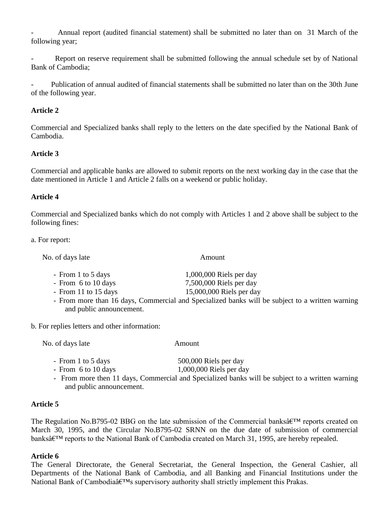- Annual report (audited financial statement) shall be submitted no later than on 31 March of the following year;

Report on reserve requirement shall be submitted following the annual schedule set by of National Bank of Cambodia;

- Publication of annual audited of financial statements shall be submitted no later than on the 30th June of the following year.

#### **Article 2**

Commercial and Specialized banks shall reply to the letters on the date specified by the National Bank of Cambodia.

#### **Article 3**

Commercial and applicable banks are allowed to submit reports on the next working day in the case that the date mentioned in Article 1 and Article 2 falls on a weekend or public holiday.

#### **Article 4**

Commercial and Specialized banks which do not comply with Articles 1 and 2 above shall be subject to the following fines:

a. For report:

No. of days late Amount

- 
- From 1 to 5 days 1,000,000 Riels per day
- From 6 to 10 days 7,500,000 Riels per day
- From 11 to 15 days 15,000,000 Riels per day
- From more than 16 days, Commercial and Specialized banks will be subject to a written warning and public announcement.

b. For replies letters and other information:

No. of days late Amount

- From 1 to 5 days 500,000 Riels per day
- From 6 to 10 days 1,000,000 Riels per day
- From more then 11 days, Commercial and Specialized banks will be subject to a written warning and public announcement.

### **Article 5**

The Regulation No.B795-02 BBG on the late submission of the Commercial banks $\hat{\mathfrak{a}} \in \mathbb{R}^m$  reports created on March 30, 1995, and the Circular No.B795-02 SRNN on the due date of submission of commercial banksâ€<sup>™</sup> reports to the National Bank of Cambodia created on March 31, 1995, are hereby repealed.

#### **Article 6**

The General Directorate, the General Secretariat, the General Inspection, the General Cashier, all Departments of the National Bank of Cambodia, and all Banking and Financial Institutions under the National Bank of Cambodia $\hat{\mathfrak{a}} \in \mathbb{M}$ s supervisory authority shall strictly implement this Prakas.